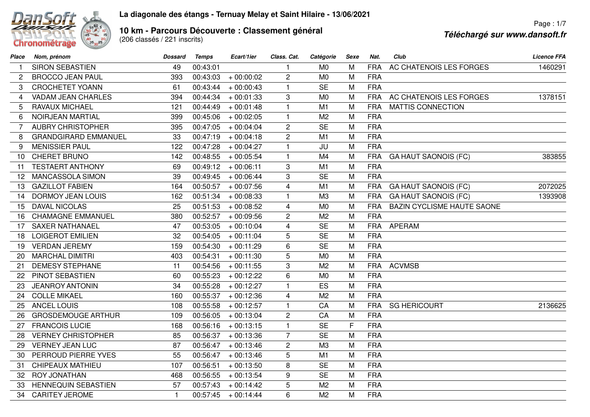## Chronométrage

## **La diagonale des étangs - Ternuay Melay et Saint Hilaire - 13/06/2021**

**10 km - Parcours Découverte : Classement général<br>(206 classés / 221 inscrits)** 

Page : 1/7**Téléchargé sur www.dansoft.fr**

| Place | Nom, prénom                 | <b>Dossard</b> | <b>Temps</b> | Ecart/1ier  | Class. Cat.             | Catégorie      | Sexe | Nat.       | Club                              | <b>Licence FFA</b> |
|-------|-----------------------------|----------------|--------------|-------------|-------------------------|----------------|------|------------|-----------------------------------|--------------------|
|       | <b>SIRON SEBASTIEN</b>      | 49             | 00:43:01     |             |                         | M <sub>0</sub> | M    | <b>FRA</b> | AC CHATENOIS LES FORGES           | 1460291            |
| 2     | <b>BROCCO JEAN PAUL</b>     | 393            | 00:43:03     | $+00:00:02$ | $\overline{2}$          | M <sub>0</sub> | M    | <b>FRA</b> |                                   |                    |
| 3     | <b>CROCHETET YOANN</b>      | 61             | 00:43:44     | $+00:00:43$ | $\mathbf{1}$            | <b>SE</b>      | M    | <b>FRA</b> |                                   |                    |
| 4     | <b>VADAM JEAN CHARLES</b>   | 394            | 00:44:34     | $+00:01:33$ | 3                       | M <sub>0</sub> | M    | <b>FRA</b> | AC CHATENOIS LES FORGES           | 1378151            |
| 5     | <b>RAVAUX MICHAEL</b>       | 121            | 00:44:49     | $+00:01:48$ | $\mathbf{1}$            | M1             | M    | <b>FRA</b> | MATTIS CONNECTION                 |                    |
| 6     | <b>NOIRJEAN MARTIAL</b>     | 399            | 00:45:06     | $+00:02:05$ | $\mathbf{1}$            | M <sub>2</sub> | M    | <b>FRA</b> |                                   |                    |
| 7     | <b>AUBRY CHRISTOPHER</b>    | 395            | 00:47:05     | $+00:04:04$ | $\overline{c}$          | <b>SE</b>      | M    | <b>FRA</b> |                                   |                    |
| 8     | <b>GRANDGIRARD EMMANUEL</b> | 33             | 00:47:19     | $+00:04:18$ | $\overline{2}$          | M1             | M    | <b>FRA</b> |                                   |                    |
| 9     | <b>MENISSIER PAUL</b>       | 122            | 00:47:28     | $+00:04:27$ | $\mathbf{1}$            | JU             | M    | <b>FRA</b> |                                   |                    |
| 10    | CHERET BRUNO                | 142            | 00:48:55     | $+00:05:54$ | $\mathbf{1}$            | M4             | M    | <b>FRA</b> | <b>GA HAUT SAONOIS (FC)</b>       | 383855             |
| 11    | <b>TESTAERT ANTHONY</b>     | 69             | 00:49:12     | $+00:06:11$ | 3                       | M1             | M    | <b>FRA</b> |                                   |                    |
| 12    | MANCASSOLA SIMON            | 39             | 00:49:45     | $+00:06:44$ | 3                       | <b>SE</b>      | M    | <b>FRA</b> |                                   |                    |
| 13    | <b>GAZILLOT FABIEN</b>      | 164            | 00:50:57     | $+00:07:56$ | $\overline{\mathbf{4}}$ | M1             | M    | <b>FRA</b> | <b>GA HAUT SAONOIS (FC)</b>       | 2072025            |
| 14    | <b>DORMOY JEAN LOUIS</b>    | 162            | 00:51:34     | $+00:08:33$ | $\mathbf{1}$            | M <sub>3</sub> | M    | <b>FRA</b> | <b>GA HAUT SAONOIS (FC)</b>       | 1393908            |
| 15    | <b>DAVAL NICOLAS</b>        | 25             | 00:51:53     | $+00:08:52$ | $\overline{4}$          | M <sub>0</sub> | M    | <b>FRA</b> | <b>BAZIN CYCLISME HAUTE SAONE</b> |                    |
| 16    | <b>CHAMAGNE EMMANUEL</b>    | 380            | 00:52:57     | $+00:09:56$ | $\overline{2}$          | M <sub>2</sub> | M    | <b>FRA</b> |                                   |                    |
| 17    | <b>SAXER NATHANAEL</b>      | 47             | 00:53:05     | $+00:10:04$ | $\overline{4}$          | <b>SE</b>      | M    | <b>FRA</b> | <b>APERAM</b>                     |                    |
| 18    | <b>LOIGEROT EMILIEN</b>     | 32             | 00:54:05     | $+00:11:04$ | 5                       | <b>SE</b>      | M    | <b>FRA</b> |                                   |                    |
| 19    | <b>VERDAN JEREMY</b>        | 159            | 00:54:30     | $+00:11:29$ | 6                       | <b>SE</b>      | M    | <b>FRA</b> |                                   |                    |
| 20    | <b>MARCHAL DIMITRI</b>      | 403            | 00:54:31     | $+00:11:30$ | 5                       | M <sub>0</sub> | M    | <b>FRA</b> |                                   |                    |
| 21    | <b>DEMESY STEPHANE</b>      | 11             | 00:54:56     | $+00:11:55$ | 3                       | M <sub>2</sub> | M    | <b>FRA</b> | <b>ACVMSB</b>                     |                    |
| 22    | PINOT SEBASTIEN             | 60             | 00:55:23     | $+00:12:22$ | 6                       | M <sub>0</sub> | M    | <b>FRA</b> |                                   |                    |
| 23    | <b>JEANROY ANTONIN</b>      | 34             | 00:55:28     | $+00:12:27$ | $\mathbf{1}$            | ES             | M    | <b>FRA</b> |                                   |                    |
| 24    | <b>COLLE MIKAEL</b>         | 160            | 00:55:37     | $+00:12:36$ | $\overline{4}$          | M <sub>2</sub> | M    | <b>FRA</b> |                                   |                    |
| 25    | <b>ANCEL LOUIS</b>          | 108            | 00:55:58     | $+00:12:57$ | $\mathbf{1}$            | CA             | M    | <b>FRA</b> | <b>SG HERICOURT</b>               | 2136625            |
| 26    | <b>GROSDEMOUGE ARTHUR</b>   | 109            | 00:56:05     | $+00:13:04$ | $\overline{c}$          | CA             | M    | <b>FRA</b> |                                   |                    |
| 27    | <b>FRANCOIS LUCIE</b>       | 168            | 00:56:16     | $+00:13:15$ | $\mathbf{1}$            | <b>SE</b>      | F    | <b>FRA</b> |                                   |                    |
| 28    | <b>VERNEY CHRISTOPHER</b>   | 85             | 00:56:37     | $+00:13:36$ | $\overline{7}$          | <b>SE</b>      | M    | <b>FRA</b> |                                   |                    |
| 29    | <b>VERNEY JEAN LUC</b>      | 87             | 00:56:47     | $+00:13:46$ | $\overline{c}$          | M3             | M    | <b>FRA</b> |                                   |                    |
| 30    | PERROUD PIERRE YVES         | 55             | 00:56:47     | $+00:13:46$ | 5                       | M <sub>1</sub> | M    | <b>FRA</b> |                                   |                    |
| 31    | CHIPEAUX MATHIEU            | 107            | 00:56:51     | $+00:13:50$ | 8                       | <b>SE</b>      | M    | <b>FRA</b> |                                   |                    |
| 32    | <b>ROY JONATHAN</b>         | 468            | 00:56:55     | $+00:13:54$ | 9                       | <b>SE</b>      | M    | <b>FRA</b> |                                   |                    |
| 33    | <b>HENNEQUIN SEBASTIEN</b>  | 57             | 00:57:43     | $+00:14:42$ | 5                       | M <sub>2</sub> | M    | <b>FRA</b> |                                   |                    |
| 34    | <b>CARITEY JEROME</b>       | $\mathbf{1}$   | 00:57:45     | $+00:14:44$ | 6                       | M <sub>2</sub> | M    | <b>FRA</b> |                                   |                    |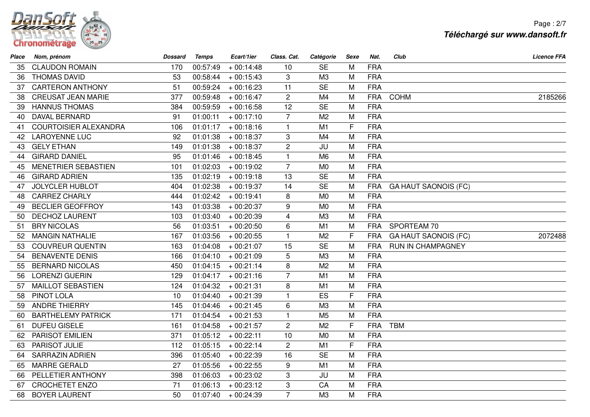

Page : 2/7**Téléchargé sur www.dansoft.fr**

| Place | Nom, prénom                  | <b>Dossard</b> | <b>Temps</b> | Ecart/1ier  | Class. Cat.    | Catégorie      | <b>Sexe</b>  | Nat.       | Club                        | <b>Licence FFA</b> |
|-------|------------------------------|----------------|--------------|-------------|----------------|----------------|--------------|------------|-----------------------------|--------------------|
| 35.   | <b>CLAUDON ROMAIN</b>        | 170            | 00:57:49     | $+00:14:48$ | 10             | <b>SE</b>      | м            | <b>FRA</b> |                             |                    |
| 36    | <b>THOMAS DAVID</b>          | 53             | 00:58:44     | $+00:15:43$ | 3              | M3             | M            | <b>FRA</b> |                             |                    |
| 37    | <b>CARTERON ANTHONY</b>      | 51             | 00:59:24     | $+00:16:23$ | 11             | <b>SE</b>      | M            | <b>FRA</b> |                             |                    |
| 38    | <b>CREUSAT JEAN MARIE</b>    | 377            | 00:59:48     | $+00:16:47$ | $\overline{c}$ | M4             | M            | <b>FRA</b> | <b>COHM</b>                 | 2185266            |
| 39    | <b>HANNUS THOMAS</b>         | 384            | 00:59:59     | $+00:16:58$ | 12             | <b>SE</b>      | M            | <b>FRA</b> |                             |                    |
| 40    | DAVAL BERNARD                | 91             | 01:00:11     | $+00:17:10$ | $\overline{7}$ | M <sub>2</sub> | M            | <b>FRA</b> |                             |                    |
| 41    | <b>COURTOISIER ALEXANDRA</b> | 106            | 01:01:17     | $+00:18:16$ | $\mathbf{1}$   | M1             | F            | <b>FRA</b> |                             |                    |
| 42    | <b>LAROYENNE LUC</b>         | 92             | 01:01:38     | $+00:18:37$ | 3              | M4             | M            | <b>FRA</b> |                             |                    |
| 43    | <b>GELY ETHAN</b>            | 149            | 01:01:38     | $+00:18:37$ | $\overline{c}$ | JU             | M            | <b>FRA</b> |                             |                    |
| 44    | <b>GIRARD DANIEL</b>         | 95             | 01:01:46     | $+00:18:45$ | $\mathbf{1}$   | M <sub>6</sub> | M            | <b>FRA</b> |                             |                    |
| 45    | MENETRIER SEBASTIEN          | 101            | 01:02:03     | $+00:19:02$ | $\overline{7}$ | M <sub>0</sub> | M            | <b>FRA</b> |                             |                    |
| 46    | <b>GIRARD ADRIEN</b>         | 135            | 01:02:19     | $+00:19:18$ | 13             | <b>SE</b>      | M            | <b>FRA</b> |                             |                    |
| 47    | <b>JOLYCLER HUBLOT</b>       | 404            | 01:02:38     | $+00:19:37$ | 14             | <b>SE</b>      | M            | <b>FRA</b> | <b>GA HAUT SAONOIS (FC)</b> |                    |
| 48    | <b>CARREZ CHARLY</b>         | 444            | 01:02:42     | $+00:19:41$ | 8              | M <sub>0</sub> | M            | <b>FRA</b> |                             |                    |
| 49    | <b>BECLIER GEOFFROY</b>      | 143            | 01:03:38     | $+00:20:37$ | 9              | M <sub>0</sub> | M            | <b>FRA</b> |                             |                    |
| 50    | <b>DECHOZ LAURENT</b>        | 103            | 01:03:40     | $+00:20:39$ | $\overline{4}$ | M3             | M            | <b>FRA</b> |                             |                    |
| 51    | <b>BRY NICOLAS</b>           | 56             | 01:03:51     | $+00:20:50$ | 6              | M1             | M            | <b>FRA</b> | SPORTEAM 70                 |                    |
| 52    | <b>MANGIN NATHALIE</b>       | 167            | 01:03:56     | $+00:20:55$ | $\mathbf{1}$   | M <sub>2</sub> | $\mathsf{F}$ | <b>FRA</b> | <b>GA HAUT SAONOIS (FC)</b> | 2072488            |
| 53    | <b>COUVREUR QUENTIN</b>      | 163            | 01:04:08     | $+00:21:07$ | 15             | <b>SE</b>      | M            | <b>FRA</b> | RUN IN CHAMPAGNEY           |                    |
| 54    | <b>BENAVENTE DENIS</b>       | 166            | 01:04:10     | $+00:21:09$ | 5              | M3             | M            | <b>FRA</b> |                             |                    |
| 55    | <b>BERNARD NICOLAS</b>       | 450            | 01:04:15     | $+00:21:14$ | 8              | M <sub>2</sub> | M            | <b>FRA</b> |                             |                    |
| 56    | <b>LORENZI GUERIN</b>        | 129            | 01:04:17     | $+00:21:16$ | $\overline{7}$ | M1             | M            | <b>FRA</b> |                             |                    |
| 57    | <b>MAILLOT SEBASTIEN</b>     | 124            | 01:04:32     | $+00:21:31$ | 8              | M1             | M            | <b>FRA</b> |                             |                    |
| 58    | PINOT LOLA                   | 10             | 01:04:40     | $+00:21:39$ | $\mathbf{1}$   | ES             | F            | <b>FRA</b> |                             |                    |
| 59    | <b>ANDRE THIERRY</b>         | 145            | 01:04:46     | $+00:21:45$ | 6              | M <sub>3</sub> | M            | <b>FRA</b> |                             |                    |
| 60    | <b>BARTHELEMY PATRICK</b>    | 171            | 01:04:54     | $+00:21:53$ | $\mathbf{1}$   | M <sub>5</sub> | M            | <b>FRA</b> |                             |                    |
| 61    | <b>DUFEU GISELE</b>          | 161            | 01:04:58     | $+00:21:57$ | $\mathbf{2}$   | M <sub>2</sub> | $\mathsf{F}$ | <b>FRA</b> | <b>TBM</b>                  |                    |
| 62    | <b>PARISOT EMILIEN</b>       | 371            | 01:05:12     | $+00:22:11$ | 10             | M <sub>0</sub> | M            | <b>FRA</b> |                             |                    |
| 63    | PARISOT JULIE                | 112            | 01:05:15     | $+00:22:14$ | $\overline{c}$ | M1             | F            | <b>FRA</b> |                             |                    |
| 64    | <b>SARRAZIN ADRIEN</b>       | 396            | 01:05:40     | $+00:22:39$ | 16             | <b>SE</b>      | M            | <b>FRA</b> |                             |                    |
| 65    | <b>MARRE GERALD</b>          | 27             | 01:05:56     | $+00:22:55$ | 9              | M1             | M            | <b>FRA</b> |                             |                    |
| 66    | PELLETIER ANTHONY            | 398            | 01:06:03     | $+00:23:02$ | 3              | JU             | M            | <b>FRA</b> |                             |                    |
| 67    | <b>CROCHETET ENZO</b>        | 71             | 01:06:13     | $+00:23:12$ | 3              | CA             | M            | <b>FRA</b> |                             |                    |
| 68    | <b>BOYER LAURENT</b>         | 50             | 01:07:40     | $+00:24:39$ | $\overline{7}$ | M3             | M            | <b>FRA</b> |                             |                    |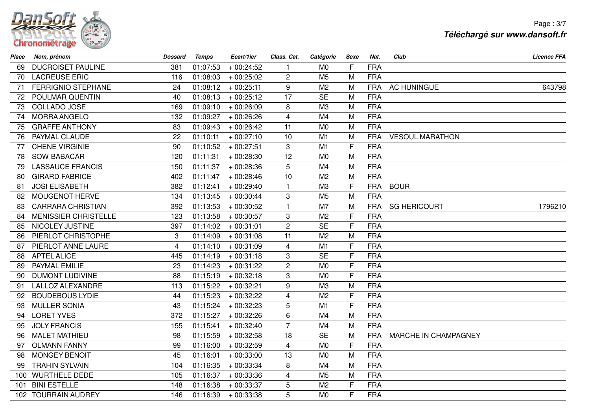

Page : 3/7**Téléchargé sur www.dansoft.fr**

| Place | Nom, prénom                 | <b>Dossard</b> | <b>Temps</b> | Ecart/1ier  | Class. Cat.             | Catégorie      | Sexe | Nat.       | Club                   | <b>Licence FFA</b> |
|-------|-----------------------------|----------------|--------------|-------------|-------------------------|----------------|------|------------|------------------------|--------------------|
| 69.   | <b>DUCROISET PAULINE</b>    | 381            | 01:07:53     | $+00:24:52$ | $\mathbf{1}$            | M <sub>0</sub> | F    | <b>FRA</b> |                        |                    |
| 70    | <b>LACREUSE ERIC</b>        | 116            | 01:08:03     | $+00:25:02$ | $\overline{c}$          | M <sub>5</sub> | M    | <b>FRA</b> |                        |                    |
| 71    | <b>FERRIGNIO STEPHANE</b>   | 24             | 01:08:12     | $+00:25:11$ | 9                       | M <sub>2</sub> | M    | <b>FRA</b> | <b>AC HUNINGUE</b>     | 643798             |
| 72    | POULMAR QUENTIN             | 40             | 01:08:13     | $+00:25:12$ | 17                      | <b>SE</b>      | M    | <b>FRA</b> |                        |                    |
| 73    | COLLADO JOSE                | 169            | 01:09:10     | $+00:26:09$ | 8                       | M <sub>3</sub> | M    | <b>FRA</b> |                        |                    |
| 74    | <b>MORRA ANGELO</b>         | 132            | 01:09:27     | $+00:26:26$ | $\overline{4}$          | M <sub>4</sub> | M    | <b>FRA</b> |                        |                    |
| 75    | <b>GRAFFE ANTHONY</b>       | 83             | 01:09:43     | $+00:26:42$ | 11                      | M <sub>0</sub> | M    | <b>FRA</b> |                        |                    |
| 76    | PAYMAL CLAUDE               | 22             | 01:10:11     | $+00:27:10$ | 10                      | M1             | M    | <b>FRA</b> | <b>VESOUL MARATHON</b> |                    |
| 77    | <b>CHENE VIRGINIE</b>       | 90             | 01:10:52     | $+00:27:51$ | 3                       | M1             | F    | <b>FRA</b> |                        |                    |
| 78    | <b>SOW BABACAR</b>          | 120            | 01:11:31     | $+00:28:30$ | 12                      | M <sub>0</sub> | M    | <b>FRA</b> |                        |                    |
| 79    | <b>LASSAUCE FRANCIS</b>     | 150            | 01:11:37     | $+00:28:36$ | 5                       | M4             | M    | <b>FRA</b> |                        |                    |
| 80    | <b>GIRARD FABRICE</b>       | 402            | 01:11:47     | $+00:28:46$ | 10                      | M <sub>2</sub> | M    | <b>FRA</b> |                        |                    |
| 81    | <b>JOSI ELISABETH</b>       | 382            | 01:12:41     | $+00:29:40$ | $\mathbf{1}$            | M3             | F    | <b>FRA</b> | <b>BOUR</b>            |                    |
|       | 82 MOUGENOT HERVE           | 134            | 01:13:45     | $+00:30:44$ | 3                       | M <sub>5</sub> | M    | <b>FRA</b> |                        |                    |
| 83    | <b>CARRARA CHRISTIAN</b>    | 392            | 01:13:53     | $+00:30:52$ | $\mathbf{1}$            | M <sub>7</sub> | M    | <b>FRA</b> | <b>SG HERICOURT</b>    | 1796210            |
| 84    | <b>MENISSIER CHRISTELLE</b> | 123            | 01:13:58     | $+00:30:57$ | 3                       | M <sub>2</sub> | F    | <b>FRA</b> |                        |                    |
| 85    | NICOLEY JUSTINE             | 397            | 01:14:02     | $+00:31:01$ | $\overline{2}$          | <b>SE</b>      | F    | <b>FRA</b> |                        |                    |
| 86.   | PIERLOT CHRISTOPHE          | 3              | 01:14:09     | $+00:31:08$ | 11                      | M <sub>2</sub> | M    | <b>FRA</b> |                        |                    |
| 87    | PIERLOT ANNE LAURE          | $\overline{4}$ | 01:14:10     | $+00:31:09$ | $\overline{\mathbf{4}}$ | M1             | F    | <b>FRA</b> |                        |                    |
| 88    | <b>APTEL ALICE</b>          | 445            | 01:14:19     | $+00:31:18$ | 3                       | <b>SE</b>      | F    | <b>FRA</b> |                        |                    |
| 89    | PAYMAL EMILIE               | 23             | 01:14:23     | $+00:31:22$ | $\overline{2}$          | M <sub>0</sub> | F    | <b>FRA</b> |                        |                    |
| 90    | <b>DUMONT LUDIVINE</b>      | 88             | 01:15:19     | $+00:32:18$ | 3                       | M <sub>0</sub> | F    | <b>FRA</b> |                        |                    |
| 91    | <b>LALLOZ ALEXANDRE</b>     | 113            | 01:15:22     | $+00:32:21$ | 9                       | M <sub>3</sub> | M    | <b>FRA</b> |                        |                    |
| 92    | <b>BOUDEBOUS LYDIE</b>      | 44             | 01:15:23     | $+00:32:22$ | $\overline{\mathbf{4}}$ | M <sub>2</sub> | F    | <b>FRA</b> |                        |                    |
| 93    | <b>MULLER SONIA</b>         | 43             | 01:15:24     | $+00:32:23$ | 5                       | M1             | F    | <b>FRA</b> |                        |                    |
| 94    | <b>LORET YVES</b>           | 372            | 01:15:27     | $+00:32:26$ | 6                       | M4             | M    | <b>FRA</b> |                        |                    |
| 95    | <b>JOLY FRANCIS</b>         | 155            | 01:15:41     | $+00:32:40$ | $\overline{7}$          | M4             | M    | <b>FRA</b> |                        |                    |
| 96    | <b>MALET MATHIEU</b>        | 98             | 01:15:59     | $+00:32:58$ | 18                      | <b>SE</b>      | M    | <b>FRA</b> | MARCHE IN CHAMPAGNEY   |                    |
| 97    | <b>OLMANN FANNY</b>         | 99             | 01:16:00     | $+00:32:59$ | $\overline{4}$          | M <sub>0</sub> | F    | <b>FRA</b> |                        |                    |
| 98.   | <b>MONGEY BENOIT</b>        | 45             | 01:16:01     | $+00:33:00$ | 13                      | M <sub>0</sub> | M    | <b>FRA</b> |                        |                    |
| 99    | <b>TRAHIN SYLVAIN</b>       | 104            | 01:16:35     | $+00:33:34$ | 8                       | M4             | M    | <b>FRA</b> |                        |                    |
| 100   | <b>WURTHELE DEDE</b>        | 105            | 01:16:37     | $+00:33:36$ | $\overline{\mathbf{4}}$ | M <sub>5</sub> | M    | <b>FRA</b> |                        |                    |
| 101   | <b>BINI ESTELLE</b>         | 148            | 01:16:38     | $+00:33:37$ | 5                       | M <sub>2</sub> | F    | <b>FRA</b> |                        |                    |
|       | 102 TOURRAIN AUDREY         | 146            | 01:16:39     | $+00:33:38$ | 5                       | M <sub>0</sub> | F    | <b>FRA</b> |                        |                    |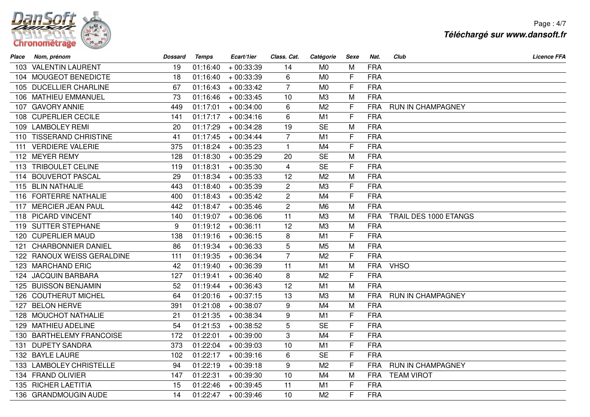

Page : 4/7**Téléchargé sur www.dansoft.fr**

| Place | Nom, prénom                | <b>Dossard</b> | <b>Temps</b> | Ecart/1ier            | Class. Cat.    | Catégorie      | Sexe         | Nat.       | Club                  | <b>Licence FFA</b> |
|-------|----------------------------|----------------|--------------|-----------------------|----------------|----------------|--------------|------------|-----------------------|--------------------|
|       | 103 VALENTIN LAURENT       | 19             | 01:16:40     | $+00:33:39$           | 14             | M <sub>0</sub> | M            | <b>FRA</b> |                       |                    |
|       | 104 MOUGEOT BENEDICTE      | 18             | 01:16:40     | $+00:33:39$           | 6              | M <sub>0</sub> | F            | <b>FRA</b> |                       |                    |
|       | 105 DUCELLIER CHARLINE     | 67             | 01:16:43     | $+00:33:42$           | $\overline{7}$ | M <sub>0</sub> | F            | <b>FRA</b> |                       |                    |
|       | 106 MATHIEU EMMANUEL       | 73             | 01:16:46     | $+00:33:45$           | 10             | M3             | M            | <b>FRA</b> |                       |                    |
|       | 107 GAVORY ANNIE           | 449            | 01:17:01     | $+00:34:00$           | 6              | M <sub>2</sub> | F            | <b>FRA</b> | RUN IN CHAMPAGNEY     |                    |
|       | 108 CUPERLIER CECILE       | 141            | 01:17:17     | $+00:34:16$           | 6              | M1             | F            | <b>FRA</b> |                       |                    |
|       | 109 LAMBOLEY REMI          | 20             | 01:17:29     | $+00:34:28$           | 19             | <b>SE</b>      | M            | <b>FRA</b> |                       |                    |
|       | 110 TISSERAND CHRISTINE    | 41             | 01:17:45     | $+00:34:44$           | $\overline{7}$ | M1             | F            | <b>FRA</b> |                       |                    |
|       | 111 VERDIERE VALERIE       | 375            | 01:18:24     | $+00:35:23$           | $\mathbf{1}$   | M4             | F            | <b>FRA</b> |                       |                    |
|       | 112 MEYER REMY             | 128            | 01:18:30     | $+00:35:29$           | 20             | <b>SE</b>      | M            | <b>FRA</b> |                       |                    |
|       | 113 TRIBOULET CELINE       | 119            | 01:18:31     | $+00:35:30$           | $\overline{4}$ | <b>SE</b>      | $\mathsf{F}$ | <b>FRA</b> |                       |                    |
|       | 114 BOUVEROT PASCAL        | 29             | 01:18:34     | $+00:35:33$           | 12             | M <sub>2</sub> | M            | <b>FRA</b> |                       |                    |
|       | 115 BLIN NATHALIE          | 443            | 01:18:40     | $+00:35:39$           | $\mathbf{2}$   | M <sub>3</sub> | $\mathsf{F}$ | <b>FRA</b> |                       |                    |
|       | 116 FORTERRE NATHALIE      | 400            | 01:18:43     | $+00:35:42$           | $\overline{2}$ | M4             | F            | <b>FRA</b> |                       |                    |
|       | 117 MERCIER JEAN PAUL      | 442            | 01:18:47     | $+00:35:46$           | $\overline{c}$ | M <sub>6</sub> | M            | <b>FRA</b> |                       |                    |
|       | 118 PICARD VINCENT         | 140            | 01:19:07     | $+00:36:06$           | 11             | M <sub>3</sub> | M            | <b>FRA</b> | TRAIL DES 1000 ETANGS |                    |
|       | 119 SUTTER STEPHANE        | 9              | 01:19:12     | $+00:36:11$           | 12             | M3             | M            | <b>FRA</b> |                       |                    |
|       | 120 CUPERLIER MAUD         | 138            | 01:19:16     | $+00:36:15$           | 8              | M1             | F            | <b>FRA</b> |                       |                    |
| 121   | <b>CHARBONNIER DANIEL</b>  | 86             | 01:19:34     | $+00:36:33$           | 5              | M <sub>5</sub> | M            | <b>FRA</b> |                       |                    |
|       | 122 RANOUX WEISS GERALDINE | 111            | 01:19:35     | $+00:36:34$           | $\overline{7}$ | M <sub>2</sub> | F            | <b>FRA</b> |                       |                    |
|       | 123 MARCHAND ERIC          | 42             | 01:19:40     | $+00:36:39$           | 11             | M1             | M            | <b>FRA</b> | <b>VHSO</b>           |                    |
|       | 124 JACQUIN BARBARA        | 127            | 01:19:41     | $+00:36:40$           | 8              | M <sub>2</sub> | F            | <b>FRA</b> |                       |                    |
|       | 125 BUISSON BENJAMIN       | 52             | 01:19:44     | $+00:36:43$           | 12             | M1             | M            | <b>FRA</b> |                       |                    |
|       | 126 COUTHERUT MICHEL       | 64             | 01:20:16     | $+00:37:15$           | 13             | M3             | M            | <b>FRA</b> | RUN IN CHAMPAGNEY     |                    |
|       | 127 BELON HERVE            | 391            | 01:21:08     | $+00:38:07$           | 9              | M4             | M            | <b>FRA</b> |                       |                    |
|       | 128 MOUCHOT NATHALIE       | 21             | 01:21:35     | $+00:38:34$           | 9              | M1             | F            | <b>FRA</b> |                       |                    |
|       | 129 MATHIEU ADELINE        | 54             | 01:21:53     | $+00:38:52$           | 5              | <b>SE</b>      | F            | <b>FRA</b> |                       |                    |
|       | 130 BARTHELEMY FRANCOISE   | 172            | 01:22:01     | $+00:39:00$           | $\overline{3}$ | M4             | F            | <b>FRA</b> |                       |                    |
|       | 131 DUPETY SANDRA          | 373            | 01:22:04     | $+00:39:03$           | 10             | M1             | F            | <b>FRA</b> |                       |                    |
|       | 132 BAYLE LAURE            | 102            | 01:22:17     | $+00:39:16$           | 6              | <b>SE</b>      | F            | <b>FRA</b> |                       |                    |
|       | 133 LAMBOLEY CHRISTELLE    | 94             | 01:22:19     | $+00:39:18$           | 9              | M <sub>2</sub> | F            | <b>FRA</b> | RUN IN CHAMPAGNEY     |                    |
|       | 134 FRAND OLIVIER          | 147            | 01:22:31     | $+00:39:30$           | 10             | M4             | M            | <b>FRA</b> | <b>TEAM VIROT</b>     |                    |
|       | 135 RICHER LAETITIA        | 15             | 01:22:46     | $+00:39:45$           | 11             | M1             | F            | <b>FRA</b> |                       |                    |
|       | 136 GRANDMOUGIN AUDE       | 14             |              | $01:22:47$ + 00:39:46 | 10             | M <sub>2</sub> | F            | <b>FRA</b> |                       |                    |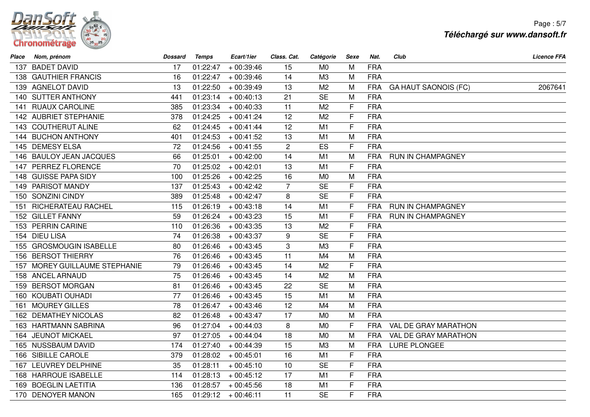

Page : 5/7**Téléchargé sur www.dansoft.fr**

| Place | Nom, prénom                   | <b>Dossard</b> | <b>Temps</b> | Ecart/1ier  | Class. Cat.    | Catégorie      | Sexe         | Nat.       | Club<br><b>Licence FFA</b>             |  |
|-------|-------------------------------|----------------|--------------|-------------|----------------|----------------|--------------|------------|----------------------------------------|--|
|       | 137 BADET DAVID               | 17             | 01:22:47     | $+00:39:46$ | 15             | M <sub>0</sub> | M            | <b>FRA</b> |                                        |  |
|       | 138 GAUTHIER FRANCIS          | 16             | 01:22:47     | $+00:39:46$ | 14             | M3             | M            | <b>FRA</b> |                                        |  |
|       | 139 AGNELOT DAVID             | 13             | 01:22:50     | $+00:39:49$ | 13             | M <sub>2</sub> | M            | <b>FRA</b> | <b>GA HAUT SAONOIS (FC)</b><br>2067641 |  |
|       | 140 SUTTER ANTHONY            | 441            | 01:23:14     | $+00:40:13$ | 21             | <b>SE</b>      | M            | <b>FRA</b> |                                        |  |
|       | 141 RUAUX CAROLINE            | 385            | 01:23:34     | $+00:40:33$ | 11             | M <sub>2</sub> | F            | <b>FRA</b> |                                        |  |
|       | 142 AUBRIET STEPHANIE         | 378            | 01:24:25     | $+00:41:24$ | 12             | M <sub>2</sub> | $\mathsf{F}$ | <b>FRA</b> |                                        |  |
|       | 143 COUTHERUT ALINE           | 62             | 01:24:45     | $+00:41:44$ | 12             | M1             | F            | <b>FRA</b> |                                        |  |
|       | 144 BUCHON ANTHONY            | 401            | 01:24:53     | $+00:41:52$ | 13             | M1             | M            | <b>FRA</b> |                                        |  |
|       | 145 DEMESY ELSA               | 72             | 01:24:56     | $+00:41:55$ | $\overline{2}$ | ES             | $\mathsf{F}$ | <b>FRA</b> |                                        |  |
|       | 146 BAULOY JEAN JACQUES       | 66             | 01:25:01     | $+00:42:00$ | 14             | M1             | M            | <b>FRA</b> | <b>RUN IN CHAMPAGNEY</b>               |  |
|       | 147 PERREZ FLORENCE           | 70             | 01:25:02     | $+00:42:01$ | 13             | M1             | F            | <b>FRA</b> |                                        |  |
|       | 148 GUISSE PAPA SIDY          | 100            | 01:25:26     | $+00:42:25$ | 16             | M <sub>0</sub> | M            | <b>FRA</b> |                                        |  |
|       | 149 PARISOT MANDY             | 137            | 01:25:43     | $+00:42:42$ | $\overline{7}$ | <b>SE</b>      | $\mathsf{F}$ | <b>FRA</b> |                                        |  |
|       | 150 SONZINI CINDY             | 389            | 01:25:48     | $+00:42:47$ | 8              | <b>SE</b>      | F            | <b>FRA</b> |                                        |  |
|       | 151 RICHERATEAU RACHEL        | 115            | 01:26:19     | $+00:43:18$ | 14             | M1             | F            | <b>FRA</b> | RUN IN CHAMPAGNEY                      |  |
|       | 152 GILLET FANNY              | 59             | 01:26:24     | $+00:43:23$ | 15             | M1             | $\mathsf{F}$ | <b>FRA</b> | RUN IN CHAMPAGNEY                      |  |
|       | 153 PERRIN CARINE             | 110            | 01:26:36     | $+00:43:35$ | 13             | M <sub>2</sub> | F            | <b>FRA</b> |                                        |  |
|       | 154 DIEU LISA                 | 74             | 01:26:38     | $+00:43:37$ | 9              | <b>SE</b>      | F            | <b>FRA</b> |                                        |  |
|       | 155 GROSMOUGIN ISABELLE       | 80             | 01:26:46     | $+00:43:45$ | 3              | M <sub>3</sub> | F            | <b>FRA</b> |                                        |  |
|       | 156 BERSOT THIERRY            | 76             | 01:26:46     | $+00:43:45$ | 11             | M4             | M            | <b>FRA</b> |                                        |  |
|       | 157 MOREY GUILLAUME STEPHANIE | 79             | 01:26:46     | $+00:43:45$ | 14             | M <sub>2</sub> | F            | <b>FRA</b> |                                        |  |
|       | 158 ANCEL ARNAUD              | 75             | 01:26:46     | $+00:43:45$ | 14             | M <sub>2</sub> | M            | <b>FRA</b> |                                        |  |
|       | 159 BERSOT MORGAN             | 81             | 01:26:46     | $+00:43:45$ | 22             | <b>SE</b>      | M            | <b>FRA</b> |                                        |  |
|       | 160 KOUBATI OUHADI            | 77             | 01:26:46     | $+00:43:45$ | 15             | M1             | M            | <b>FRA</b> |                                        |  |
| 161   | <b>MOUREY GILLES</b>          | 78             | 01:26:47     | $+00:43:46$ | 12             | M <sub>4</sub> | M            | <b>FRA</b> |                                        |  |
|       | 162 DEMATHEY NICOLAS          | 82             | 01:26:48     | $+00:43:47$ | 17             | M <sub>0</sub> | M            | <b>FRA</b> |                                        |  |
|       | 163 HARTMANN SABRINA          | 96             | 01:27:04     | $+00:44:03$ | 8              | M <sub>0</sub> | F            | <b>FRA</b> | VAL DE GRAY MARATHON                   |  |
|       | 164 JEUNOT MICKAEL            | 97             | 01:27:05     | $+00:44:04$ | 18             | M <sub>0</sub> | M            | <b>FRA</b> | VAL DE GRAY MARATHON                   |  |
|       | 165 NUSSBAUM DAVID            | 174            | 01:27:40     | $+00:44:39$ | 15             | M3             | M            | <b>FRA</b> | LURE PLONGEE                           |  |
|       | 166 SIBILLE CAROLE            | 379            | 01:28:02     | $+00:45:01$ | 16             | M1             | F            | <b>FRA</b> |                                        |  |
|       | 167 LEUVREY DELPHINE          | 35             | 01:28:11     | $+00:45:10$ | 10             | <b>SE</b>      | F            | <b>FRA</b> |                                        |  |
|       | 168 HARROUE ISABELLE          | 114            | 01:28:13     | $+00:45:12$ | 17             | M1             | $\mathsf{F}$ | <b>FRA</b> |                                        |  |
|       | 169 BOEGLIN LAETITIA          | 136            | 01:28:57     | $+00:45:56$ | 18             | M1             | F            | <b>FRA</b> |                                        |  |
|       | 170 DENOYER MANON             | 165            | 01:29:12     | $+00:46:11$ | 11             | <b>SE</b>      | F            | <b>FRA</b> |                                        |  |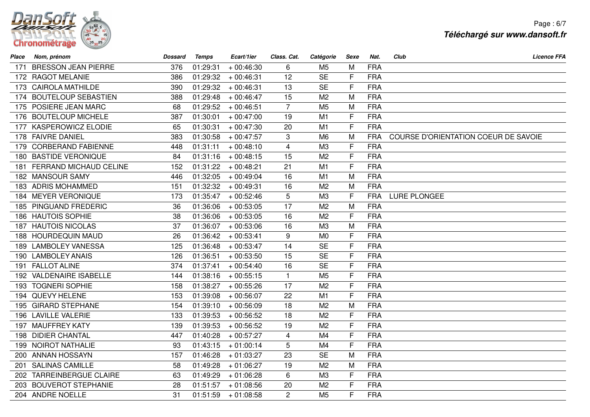

Page : 6/7**Téléchargé sur www.dansoft.fr**

| Place | Nom, prénom                   | <b>Dossard</b> | <b>Temps</b> | Ecart/1ier  | Class. Cat.    | Catégorie      | Sexe | Nat.       | Club<br><b>Licence FFA</b>           |
|-------|-------------------------------|----------------|--------------|-------------|----------------|----------------|------|------------|--------------------------------------|
| 171   | <b>BRESSON JEAN PIERRE</b>    | 376            | 01:29:31     | $+00:46:30$ | 6              | M <sub>5</sub> | M    | <b>FRA</b> |                                      |
|       | 172 RAGOT MELANIE             | 386            | 01:29:32     | $+00:46:31$ | 12             | <b>SE</b>      | F    | <b>FRA</b> |                                      |
|       | 173 CAIROLA MATHILDE          | 390            | 01:29:32     | $+00:46:31$ | 13             | <b>SE</b>      | F    | <b>FRA</b> |                                      |
|       | 174 BOUTELOUP SEBASTIEN       | 388            | 01:29:48     | $+00:46:47$ | 15             | M <sub>2</sub> | M    | <b>FRA</b> |                                      |
|       | 175 POSIERE JEAN MARC         | 68             | 01:29:52     | $+00:46:51$ | $\overline{7}$ | M <sub>5</sub> | M    | <b>FRA</b> |                                      |
|       | 176 BOUTELOUP MICHELE         | 387            | 01:30:01     | $+00:47:00$ | 19             | M <sub>1</sub> | F    | <b>FRA</b> |                                      |
|       | 177 KASPEROWICZ ELODIE        | 65             | 01:30:31     | $+00:47:30$ | 20             | M1             | F    | <b>FRA</b> |                                      |
|       | 178 FAIVRE DANIEL             | 383            | 01:30:58     | $+00:47:57$ | 3              | M <sub>6</sub> | M    | <b>FRA</b> | COURSE D'ORIENTATION COEUR DE SAVOIE |
|       | 179 CORBERAND FABIENNE        | 448            | 01:31:11     | $+00:48:10$ | 4              | M3             | F    | <b>FRA</b> |                                      |
|       | 180 BASTIDE VERONIQUE         | 84             | 01:31:16     | $+00:48:15$ | 15             | M <sub>2</sub> | F    | <b>FRA</b> |                                      |
| 181.  | <b>FERRAND MICHAUD CELINE</b> | 152            | 01:31:22     | $+00:48:21$ | 21             | M <sub>1</sub> | F    | <b>FRA</b> |                                      |
|       | 182 MANSOUR SAMY              | 446            | 01:32:05     | $+00:49:04$ | 16             | M1             | M    | <b>FRA</b> |                                      |
|       | 183 ADRIS MOHAMMED            | 151            | 01:32:32     | $+00:49:31$ | 16             | M <sub>2</sub> | M    | <b>FRA</b> |                                      |
|       | 184 MEYER VERONIQUE           | 173            | 01:35:47     | $+00:52:46$ | 5              | M3             | F    | <b>FRA</b> | LURE PLONGEE                         |
|       | 185 PINGUAND FREDERIC         | 36             | 01:36:06     | $+00:53:05$ | 17             | M <sub>2</sub> | M    | <b>FRA</b> |                                      |
|       | 186 HAUTOIS SOPHIE            | 38             | 01:36:06     | $+00:53:05$ | 16             | M <sub>2</sub> | F    | <b>FRA</b> |                                      |
|       | 187 HAUTOIS NICOLAS           | 37             | 01:36:07     | $+00:53:06$ | 16             | M3             | M    | <b>FRA</b> |                                      |
|       | 188 HOURDEQUIN MAUD           | 26             | 01:36:42     | $+00:53:41$ | 9              | M <sub>0</sub> | F    | <b>FRA</b> |                                      |
|       | 189 LAMBOLEY VANESSA          | 125            | 01:36:48     | $+00:53:47$ | 14             | <b>SE</b>      | F    | <b>FRA</b> |                                      |
|       | 190 LAMBOLEY ANAIS            | 126            | 01:36:51     | $+00:53:50$ | 15             | <b>SE</b>      | F    | <b>FRA</b> |                                      |
|       | 191 FALLOT ALINE              | 374            | 01:37:41     | $+00:54:40$ | 16             | <b>SE</b>      | F    | <b>FRA</b> |                                      |
|       | 192 VALDENAIRE ISABELLE       | 144            | 01:38:16     | $+00:55:15$ | $\mathbf{1}$   | M <sub>5</sub> | F    | <b>FRA</b> |                                      |
|       | 193 TOGNERI SOPHIE            | 158            | 01:38:27     | $+00:55:26$ | 17             | M <sub>2</sub> | F    | <b>FRA</b> |                                      |
|       | 194 QUEVY HELENE              | 153            | 01:39:08     | $+00:56:07$ | 22             | M1             | F    | <b>FRA</b> |                                      |
|       | 195 GIRARD STEPHANE           | 154            | 01:39:10     | $+00:56:09$ | 18             | M <sub>2</sub> | M    | <b>FRA</b> |                                      |
|       | 196 LAVILLE VALERIE           | 133            | 01:39:53     | $+00:56:52$ | 18             | M <sub>2</sub> | F    | <b>FRA</b> |                                      |
|       | 197 MAUFFREY KATY             | 139            | 01:39:53     | $+00:56:52$ | 19             | M <sub>2</sub> | F    | <b>FRA</b> |                                      |
|       | 198 DIDIER CHANTAL            | 447            | 01:40:28     | $+00:57:27$ | $\overline{4}$ | M <sub>4</sub> | F    | <b>FRA</b> |                                      |
|       | 199 NOIROT NATHALIE           | 93             | 01:43:15     | $+01:00:14$ | 5              | M4             | F    | <b>FRA</b> |                                      |
|       | 200 ANNAN HOSSAYN             | 157            | 01:46:28     | $+01:03:27$ | 23             | <b>SE</b>      | M    | <b>FRA</b> |                                      |
| 201   | <b>SALINAS CAMILLE</b>        | 58             | 01:49:28     | $+01:06:27$ | 19             | M <sub>2</sub> | M    | <b>FRA</b> |                                      |
| 202   | <b>TARREINBERGUE CLAIRE</b>   | 63             | 01:49:29     | $+01:06:28$ | 6              | M3             | F    | <b>FRA</b> |                                      |
|       | 203 BOUVEROT STEPHANIE        | 28             | 01:51:57     | $+01:08:56$ | 20             | M <sub>2</sub> | F    | <b>FRA</b> |                                      |
|       | 204 ANDRE NOELLE              | 31             | 01:51:59     | $+01:08:58$ | $\overline{c}$ | M <sub>5</sub> | F    | <b>FRA</b> |                                      |